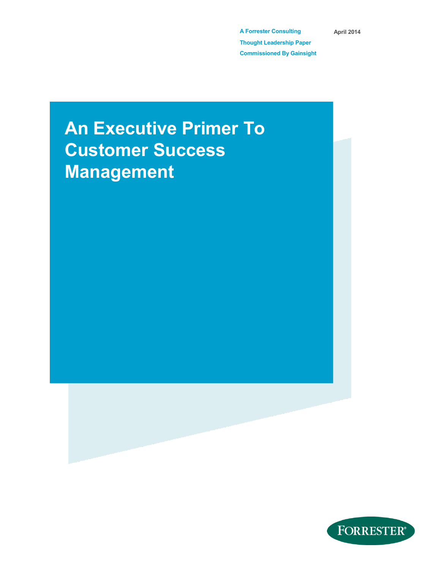**A Forrester Consulting Thought Leadership Paper Commissioned By Gainsight** **April 2014**

# **An Executive Primer To Customer Success Management**

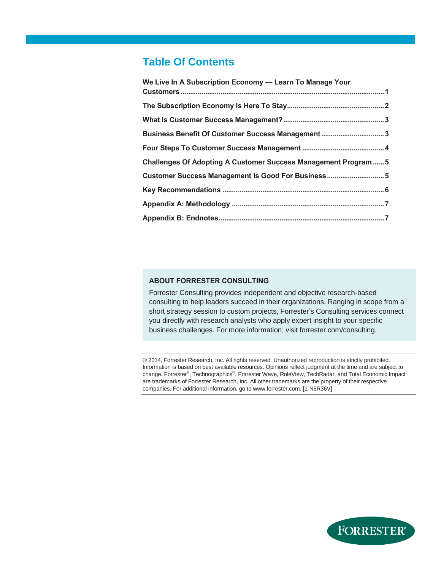## **Table Of Contents**

| We Live In A Subscription Economy - Learn To Manage Your              |
|-----------------------------------------------------------------------|
|                                                                       |
|                                                                       |
|                                                                       |
| Business Benefit Of Customer Success Management3                      |
|                                                                       |
| <b>Challenges Of Adopting A Customer Success Management Program 5</b> |
| Customer Success Management Is Good For Business 5                    |
|                                                                       |
|                                                                       |
|                                                                       |

#### **ABOUT FORRESTER CONSULTING**

Forrester Consulting provides independent and objective research-based consulting to help leaders succeed in their organizations. Ranging in scope from a short strategy session to custom projects, Forrester's Consulting services connect you directly with research analysts who apply expert insight to your specific business challenges. For more information, visit forrester.com/consulting.

© 2014, Forrester Research, Inc. All rights reserved. Unauthorized reproduction is strictly prohibited. Information is based on best available resources. Opinions reflect judgment at the time and are subject to change. Forrester®, Technographics®, Forrester Wave, RoleView, TechRadar, and Total Economic Impact are trademarks of Forrester Research, Inc. All other trademarks are the property of their respective companies. For additional information, go to www.forrester.com. [1-N6R36V]

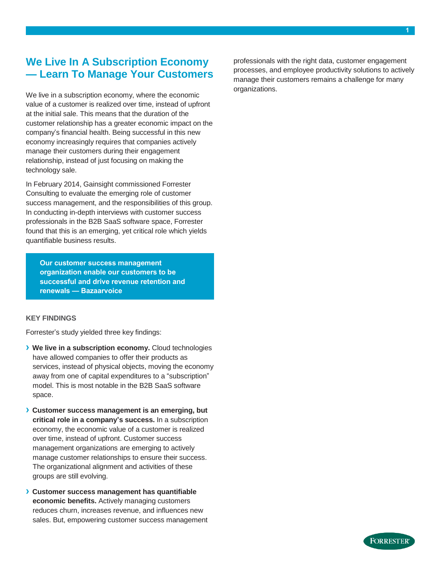## <span id="page-2-0"></span>**We Live In A Subscription Economy — Learn To Manage Your Customers**

We live in a subscription economy, where the economic value of a customer is realized over time, instead of upfront at the initial sale. This means that the duration of the customer relationship has a greater economic impact on the company's financial health. Being successful in this new economy increasingly requires that companies actively manage their customers during their engagement relationship, instead of just focusing on making the technology sale.

In February 2014, Gainsight commissioned Forrester Consulting to evaluate the emerging role of customer success management, and the responsibilities of this group. In conducting in-depth interviews with customer success professionals in the B2B SaaS software space, Forrester found that this is an emerging, yet critical role which yields quantifiable business results.

**Our customer success management organization enable our customers to be successful and drive revenue retention and renewals — Bazaarvoice**

#### **KEY FINDINGS**

Forrester's study yielded three key findings:

- **› We live in a subscription economy.** Cloud technologies have allowed companies to offer their products as services, instead of physical objects, moving the economy away from one of capital expenditures to a "subscription" model. This is most notable in the B2B SaaS software space.
- **› Customer success management is an emerging, but critical role in a company's success.** In a subscription economy, the economic value of a customer is realized over time, instead of upfront. Customer success management organizations are emerging to actively manage customer relationships to ensure their success. The organizational alignment and activities of these groups are still evolving.
- **› Customer success management has quantifiable economic benefits.** Actively managing customers reduces churn, increases revenue, and influences new sales. But, empowering customer success management

professionals with the right data, customer engagement processes, and employee productivity solutions to actively manage their customers remains a challenge for many organizations.

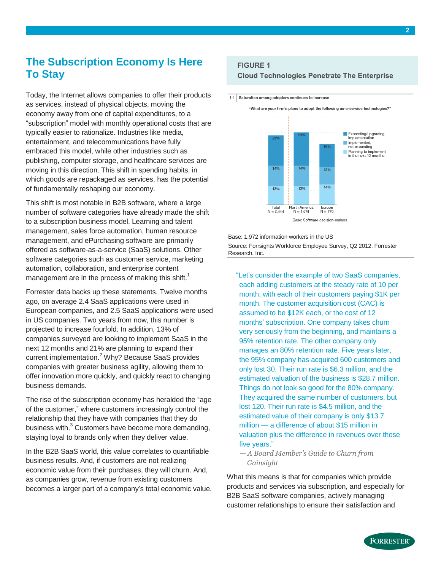## <span id="page-3-0"></span>**The Subscription Economy Is Here To Stay**

Today, the Internet allows companies to offer their products as services, instead of physical objects, moving the economy away from one of capital expenditures, to a "subscription" model with monthly operational costs that are typically easier to rationalize. Industries like media, entertainment, and telecommunications have fully embraced this model, while other industries such as publishing, computer storage, and healthcare services are moving in this direction. This shift in spending habits, in which goods are repackaged as services, has the potential of fundamentally reshaping our economy.

This shift is most notable in B2B software, where a large number of software categories have already made the shift to a subscription business model. Learning and talent management, sales force automation, human resource management, and ePurchasing software are primarily offered as software-as-a-service (SaaS) solutions. Other software categories such as customer service, marketing automation, collaboration, and enterprise content management are in the process of making this shift.<sup>1</sup>

Forrester data backs up these statements. Twelve months ago, on average 2.4 SaaS applications were used in European companies, and 2.5 SaaS applications were used in US companies. Two years from now, this number is projected to increase fourfold. In addition, 13% of companies surveyed are looking to implement SaaS in the next 12 months and 21% are planning to expand their current implementation. <sup>2</sup> Why? Because SaaS provides companies with greater business agility, allowing them to offer innovation more quickly, and quickly react to changing business demands.

The rise of the subscription economy has heralded the "age of the customer," where customers increasingly control the relationship that they have with companies that they do business with.<sup>3</sup> Customers have become more demanding, staying loyal to brands only when they deliver value.

In the B2B SaaS world, this value correlates to quantifiable business results. And, if customers are not realizing economic value from their purchases, they will churn. And, as companies grow, revenue from existing customers becomes a larger part of a company's total economic value.

#### **FIGURE 1**

1-1 Saturation among adopters continues to increase

#### **Cloud Technologies Penetrate The Enterprise**



Base: 1,972 information workers in the US Source: Forrsights Workforce Employee Survey, Q2 2012, Forrester Research, Inc.

"Let's consider the example of two SaaS companies, each adding customers at the steady rate of 10 per month, with each of their customers paying \$1K per month. The customer acquisition cost (CAC) is assumed to be \$12K each, or the cost of 12 months' subscription. One company takes churn very seriously from the beginning, and maintains a 95% retention rate. The other company only manages an 80% retention rate. Five years later, the 95% company has acquired 600 customers and only lost 30. Their run rate is \$6.3 million, and the estimated valuation of the business is \$28.7 million. Things do not look so good for the 80% company. They acquired the same number of customers, but lost 120. Their run rate is \$4.5 million, and the estimated value of their company is only \$13.7 million — a difference of about \$15 million in valuation plus the difference in revenues over those five years."

*— A Board Member's Guide to Churn from Gainsight*

What this means is that for companies which provide products and services via subscription, and especially for B2B SaaS software companies, actively managing customer relationships to ensure their satisfaction and

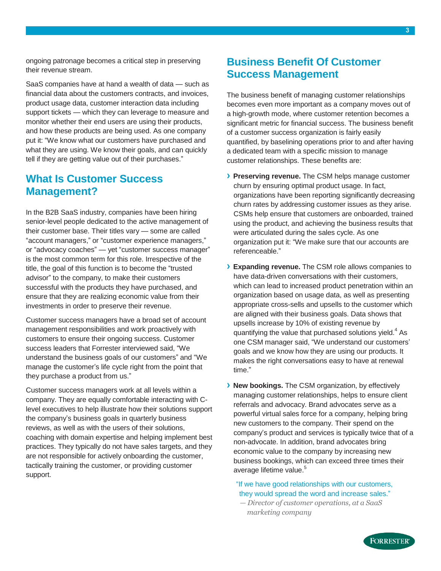ongoing patronage becomes a critical step in preserving their revenue stream.

SaaS companies have at hand a wealth of data — such as financial data about the customers contracts, and invoices, product usage data, customer interaction data including support tickets — which they can leverage to measure and monitor whether their end users are using their products, and how these products are being used. As one company put it: "We know what our customers have purchased and what they are using. We know their goals, and can quickly tell if they are getting value out of their purchases."

#### <span id="page-4-0"></span>**What Is Customer Success Management?**

In the B2B SaaS industry, companies have been hiring senior-level people dedicated to the active management of their customer base. Their titles vary — some are called "account managers," or "customer experience managers," or "advocacy coaches" — yet "customer success manager" is the most common term for this role. Irrespective of the title, the goal of this function is to become the "trusted advisor" to the company, to make their customers successful with the products they have purchased, and ensure that they are realizing economic value from their investments in order to preserve their revenue.

Customer success managers have a broad set of account management responsibilities and work proactively with customers to ensure their ongoing success. Customer success leaders that Forrester interviewed said, "We understand the business goals of our customers" and "We manage the customer's life cycle right from the point that they purchase a product from us."

Customer success managers work at all levels within a company. They are equally comfortable interacting with Clevel executives to help illustrate how their solutions support the company's business goals in quarterly business reviews, as well as with the users of their solutions, coaching with domain expertise and helping implement best practices. They typically do not have sales targets, and they are not responsible for actively onboarding the customer, tactically training the customer, or providing customer support.

## <span id="page-4-1"></span>**Business Benefit Of Customer Success Management**

The business benefit of managing customer relationships becomes even more important as a company moves out of a high-growth mode, where customer retention becomes a significant metric for financial success. The business benefit of a customer success organization is fairly easily quantified, by baselining operations prior to and after having a dedicated team with a specific mission to manage customer relationships. These benefits are:

- **› Preserving revenue.** The CSM helps manage customer churn by ensuring optimal product usage. In fact, organizations have been reporting significantly decreasing churn rates by addressing customer issues as they arise. CSMs help ensure that customers are onboarded, trained using the product, and achieving the business results that were articulated during the sales cycle. As one organization put it: "We make sure that our accounts are referenceable."
- **› Expanding revenue.** The CSM role allows companies to have data-driven conversations with their customers, which can lead to increased product penetration within an organization based on usage data, as well as presenting appropriate cross-sells and upsells to the customer which are aligned with their business goals. Data shows that upsells increase by 10% of existing revenue by quantifying the value that purchased solutions yield. $^4$  As one CSM manager said, "We understand our customers' goals and we know how they are using our products. It makes the right conversations easy to have at renewal time."
- **› New bookings.** The CSM organization, by effectively managing customer relationships, helps to ensure client referrals and advocacy. Brand advocates serve as a powerful virtual sales force for a company, helping bring new customers to the company. Their spend on the company's product and services is typically twice that of a non-advocate. In addition, brand advocates bring economic value to the company by increasing new business bookings, which can exceed three times their average lifetime value.<sup>5</sup>
	- "If we have good relationships with our customers, they would spread the word and increase sales."
	- *— Director of customer operations, at a SaaS marketing company*

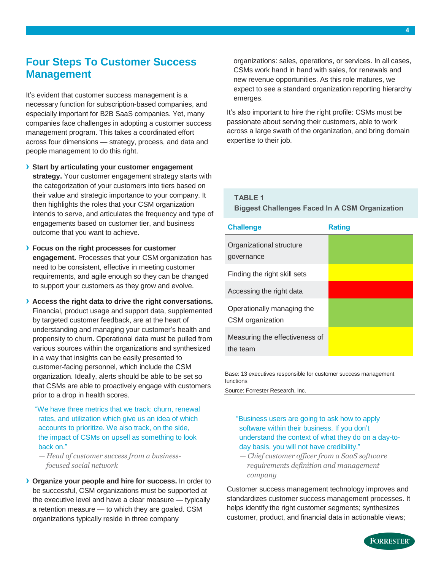#### <span id="page-5-0"></span>**Four Steps To Customer Success Management**

It's evident that customer success management is a necessary function for subscription-based companies, and especially important for B2B SaaS companies. Yet, many companies face challenges in adopting a customer success management program. This takes a coordinated effort across four dimensions — strategy, process, and data and people management to do this right.

- **› Start by articulating your customer engagement strategy.** Your customer engagement strategy starts with the categorization of your customers into tiers based on their value and strategic importance to your company. It then highlights the roles that your CSM organization intends to serve, and articulates the frequency and type of engagements based on customer tier, and business outcome that you want to achieve.
- **› Focus on the right processes for customer engagement.** Processes that your CSM organization has need to be consistent, effective in meeting customer requirements, and agile enough so they can be changed to support your customers as they grow and evolve.
- **› Access the right data to drive the right conversations.** Financial, product usage and support data, supplemented by targeted customer feedback, are at the heart of understanding and managing your customer's health and propensity to churn. Operational data must be pulled from various sources within the organizations and synthesized in a way that insights can be easily presented to customer-facing personnel, which include the CSM organization. Ideally, alerts should be able to be set so that CSMs are able to proactively engage with customers prior to a drop in health scores.
	- "We have three metrics that we track: churn, renewal rates, and utilization which give us an idea of which accounts to prioritize. We also track, on the side, the impact of CSMs on upsell as something to look back on."
	- *— Head of customer success from a businessfocused social network*
- **› Organize your people and hire for success.** In order to be successful, CSM organizations must be supported at the executive level and have a clear measure — typically a retention measure — to which they are goaled. CSM organizations typically reside in three company

organizations: sales, operations, or services. In all cases, CSMs work hand in hand with sales, for renewals and new revenue opportunities. As this role matures, we expect to see a standard organization reporting hierarchy emerges.

It's also important to hire the right profile: CSMs must be passionate about serving their customers, able to work across a large swath of the organization, and bring domain expertise to their job.

## **TABLE 1**

**Biggest Challenges Faced In A CSM Organization**

| <b>Challenge</b>                               | <b>Rating</b> |
|------------------------------------------------|---------------|
| Organizational structure<br>governance         |               |
| Finding the right skill sets                   |               |
| Accessing the right data                       |               |
| Operationally managing the<br>CSM organization |               |
| Measuring the effectiveness of<br>the team     |               |

Base: 13 executives responsible for customer success management functions

Source: Forrester Research, Inc.

#### "Business users are going to ask how to apply software within their business. If you don't understand the context of what they do on a day-today basis, you will not have credibility."

*— Chief customer officer from a SaaS software requirements definition and management company*

Customer success management technology improves and standardizes customer success management processes. It helps identify the right customer segments; synthesizes customer, product, and financial data in actionable views;

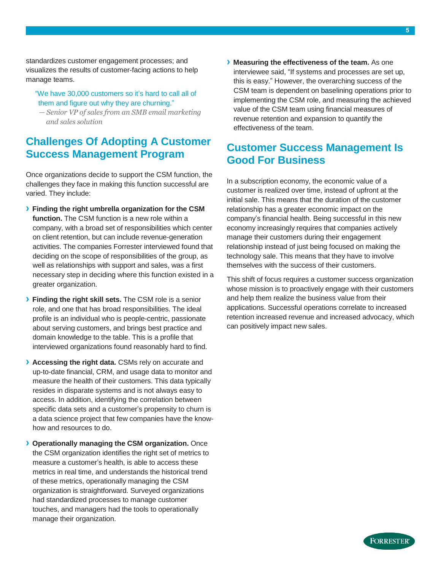standardizes customer engagement processes; and visualizes the results of customer-facing actions to help manage teams.

- "We have 30,000 customers so it's hard to call all of them and figure out why they are churning."
- *— Senior VP of sales from an SMB email marketing and sales solution*

## <span id="page-6-0"></span>**Challenges Of Adopting A Customer Success Management Program**

Once organizations decide to support the CSM function, the challenges they face in making this function successful are varied. They include:

- **› Finding the right umbrella organization for the CSM function.** The CSM function is a new role within a company, with a broad set of responsibilities which center on client retention, but can include revenue-generation activities. The companies Forrester interviewed found that deciding on the scope of responsibilities of the group, as well as relationships with support and sales, was a first necessary step in deciding where this function existed in a greater organization.
- **› Finding the right skill sets.** The CSM role is a senior role, and one that has broad responsibilities. The ideal profile is an individual who is people-centric, passionate about serving customers, and brings best practice and domain knowledge to the table. This is a profile that interviewed organizations found reasonably hard to find.
- **› Accessing the right data.** CSMs rely on accurate and up-to-date financial, CRM, and usage data to monitor and measure the health of their customers. This data typically resides in disparate systems and is not always easy to access. In addition, identifying the correlation between specific data sets and a customer's propensity to churn is a data science project that few companies have the knowhow and resources to do.
- **› Operationally managing the CSM organization.** Once the CSM organization identifies the right set of metrics to measure a customer's health, is able to access these metrics in real time, and understands the historical trend of these metrics, operationally managing the CSM organization is straightforward. Surveyed organizations had standardized processes to manage customer touches, and managers had the tools to operationally manage their organization.

**› Measuring the effectiveness of the team.** As one interviewee said, "If systems and processes are set up, this is easy." However, the overarching success of the CSM team is dependent on baselining operations prior to implementing the CSM role, and measuring the achieved value of the CSM team using financial measures of revenue retention and expansion to quantify the effectiveness of the team.

## <span id="page-6-1"></span>**Customer Success Management Is Good For Business**

In a subscription economy, the economic value of a customer is realized over time, instead of upfront at the initial sale. This means that the duration of the customer relationship has a greater economic impact on the company's financial health. Being successful in this new economy increasingly requires that companies actively manage their customers during their engagement relationship instead of just being focused on making the technology sale. This means that they have to involve themselves with the success of their customers.

This shift of focus requires a customer success organization whose mission is to proactively engage with their customers and help them realize the business value from their applications. Successful operations correlate to increased retention increased revenue and increased advocacy, which can positively impact new sales.

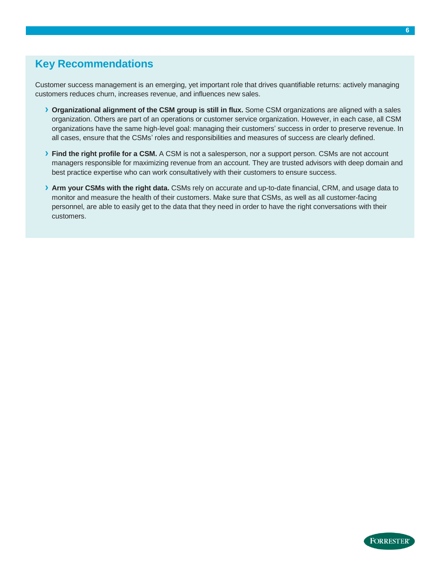## <span id="page-7-0"></span>**Key Recommendations**

Customer success management is an emerging, yet important role that drives quantifiable returns: actively managing customers reduces churn, increases revenue, and influences new sales.

- **› Organizational alignment of the CSM group is still in flux.** Some CSM organizations are aligned with a sales organization. Others are part of an operations or customer service organization. However, in each case, all CSM organizations have the same high-level goal: managing their customers' success in order to preserve revenue. In all cases, ensure that the CSMs' roles and responsibilities and measures of success are clearly defined.
- **› Find the right profile for a CSM.** A CSM is not a salesperson, nor a support person. CSMs are not account managers responsible for maximizing revenue from an account. They are trusted advisors with deep domain and best practice expertise who can work consultatively with their customers to ensure success.
- **› Arm your CSMs with the right data.** CSMs rely on accurate and up-to-date financial, CRM, and usage data to monitor and measure the health of their customers. Make sure that CSMs, as well as all customer-facing personnel, are able to easily get to the data that they need in order to have the right conversations with their customers.